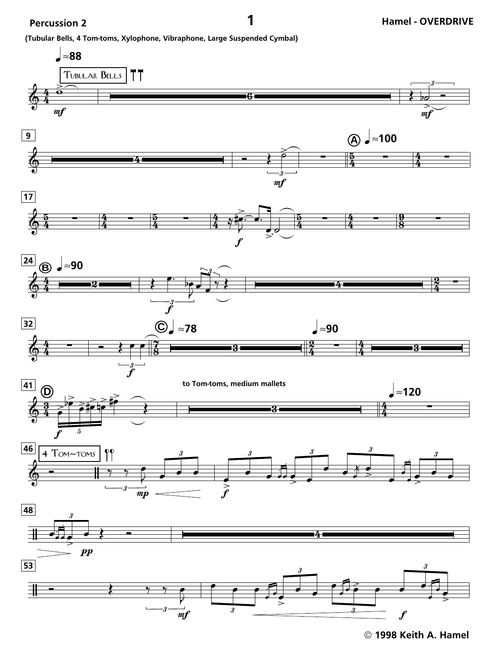(Tubular Bells, 4 Tom-toms, Xylophone, Vibraphone, Large Suspended Cymbal) Percussion 2 1



1998 Keith A. Hamel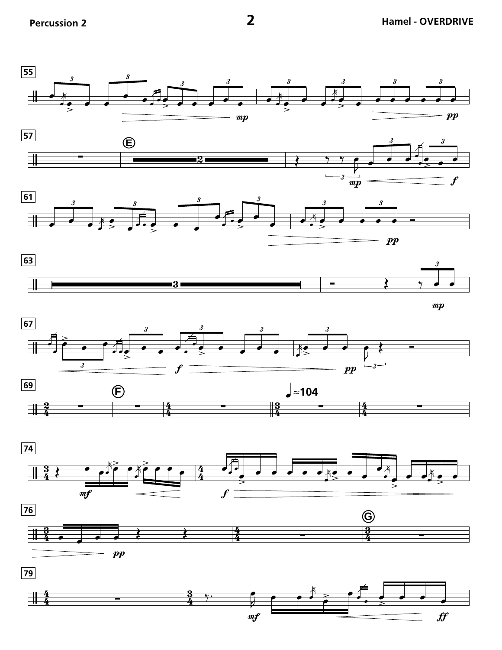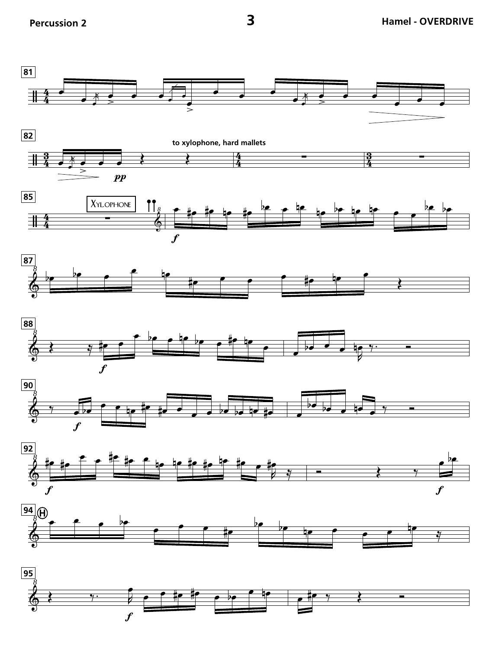















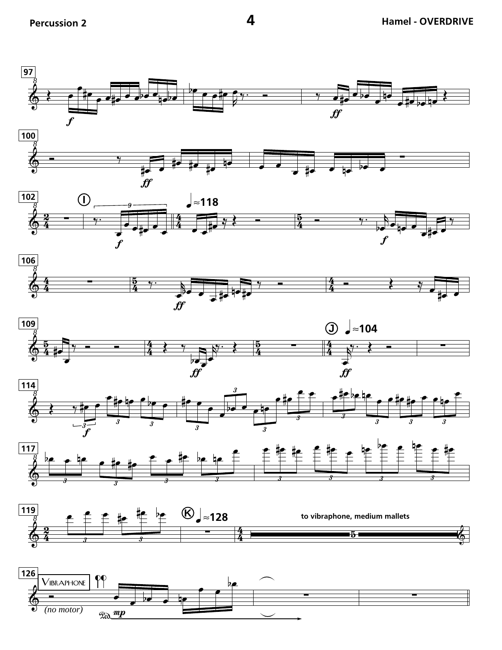





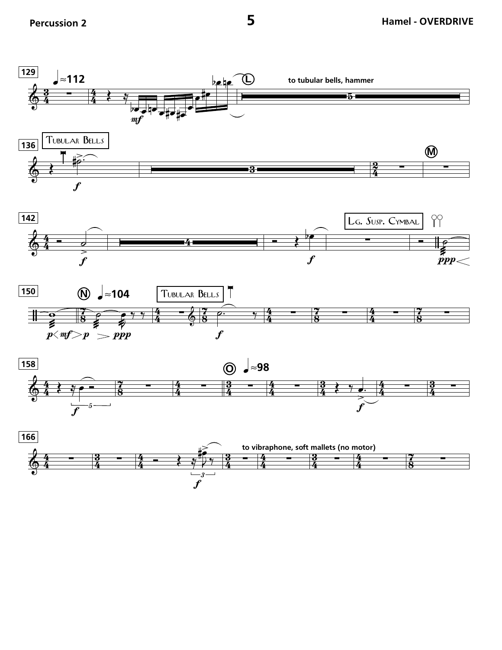









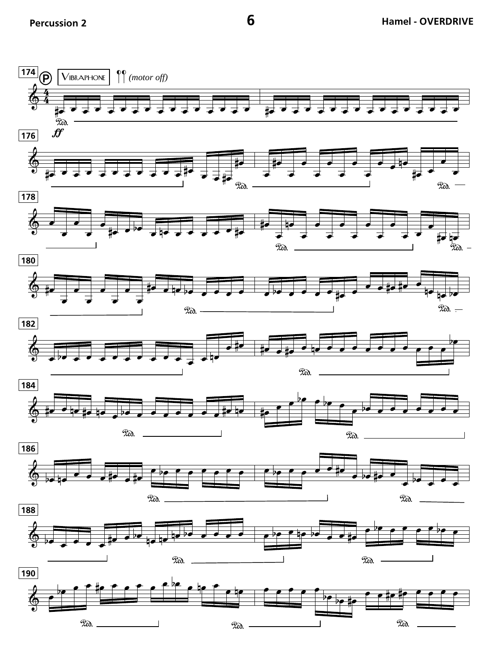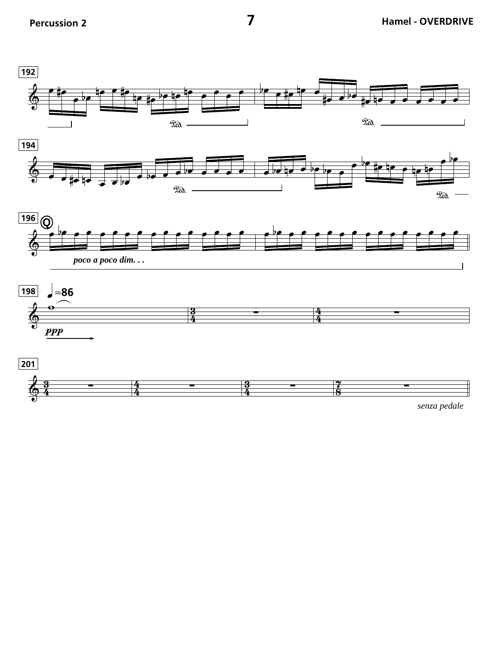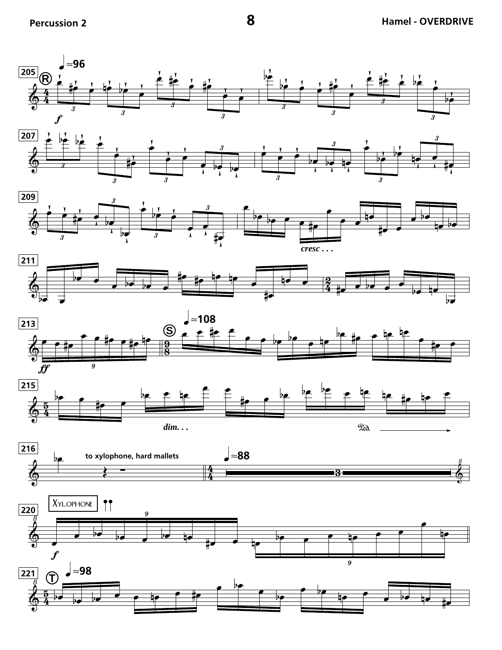